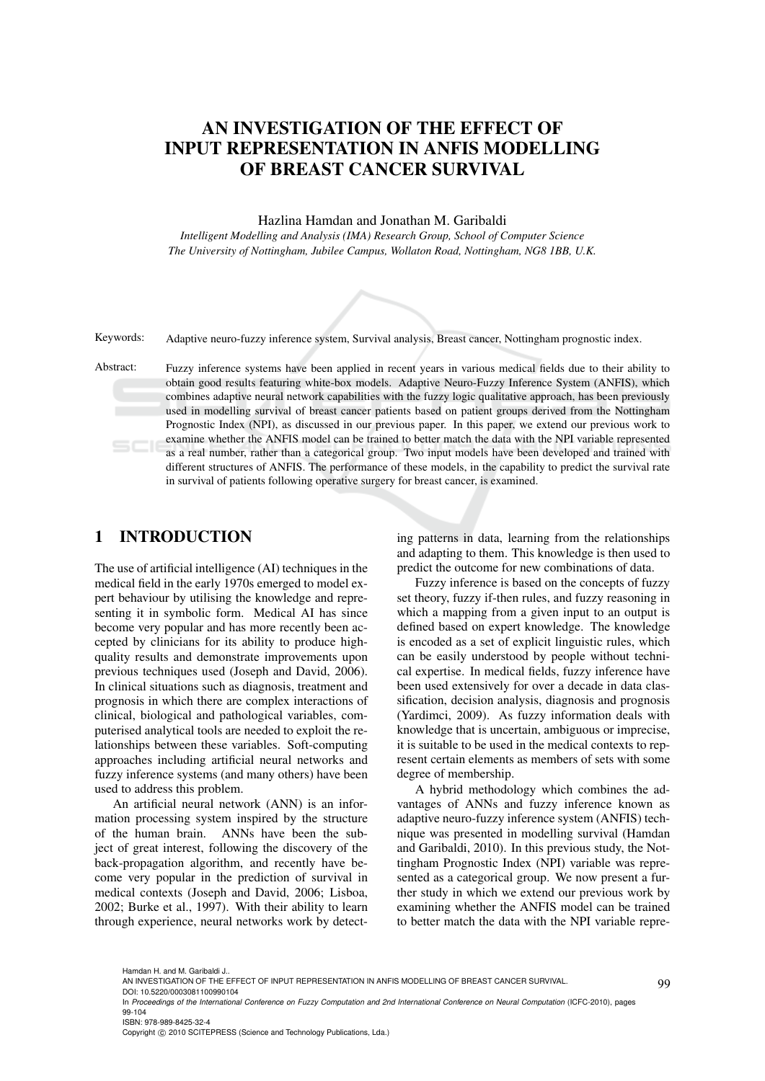# AN INVESTIGATION OF THE EFFECT OF INPUT REPRESENTATION IN ANFIS MODELLING OF BREAST CANCER SURVIVAL

#### Hazlina Hamdan and Jonathan M. Garibaldi

*Intelligent Modelling and Analysis (IMA) Research Group, School of Computer Science The University of Nottingham, Jubilee Campus, Wollaton Road, Nottingham, NG8 1BB, U.K.*



Keywords: Adaptive neuro-fuzzy inference system, Survival analysis, Breast cancer, Nottingham prognostic index.

Abstract: Fuzzy inference systems have been applied in recent years in various medical fields due to their ability to obtain good results featuring white-box models. Adaptive Neuro-Fuzzy Inference System (ANFIS), which combines adaptive neural network capabilities with the fuzzy logic qualitative approach, has been previously used in modelling survival of breast cancer patients based on patient groups derived from the Nottingham Prognostic Index (NPI), as discussed in our previous paper. In this paper, we extend our previous work to examine whether the ANFIS model can be trained to better match the data with the NPI variable represented as a real number, rather than a categorical group. Two input models have been developed and trained with different structures of ANFIS. The performance of these models, in the capability to predict the survival rate in survival of patients following operative surgery for breast cancer, is examined.

## 1 INTRODUCTION

The use of artificial intelligence (AI) techniques in the medical field in the early 1970s emerged to model expert behaviour by utilising the knowledge and representing it in symbolic form. Medical AI has since become very popular and has more recently been accepted by clinicians for its ability to produce highquality results and demonstrate improvements upon previous techniques used (Joseph and David, 2006). In clinical situations such as diagnosis, treatment and prognosis in which there are complex interactions of clinical, biological and pathological variables, computerised analytical tools are needed to exploit the relationships between these variables. Soft-computing approaches including artificial neural networks and fuzzy inference systems (and many others) have been used to address this problem.

An artificial neural network (ANN) is an information processing system inspired by the structure of the human brain. ANNs have been the subject of great interest, following the discovery of the back-propagation algorithm, and recently have become very popular in the prediction of survival in medical contexts (Joseph and David, 2006; Lisboa, 2002; Burke et al., 1997). With their ability to learn through experience, neural networks work by detect-

ing patterns in data, learning from the relationships and adapting to them. This knowledge is then used to predict the outcome for new combinations of data.

Fuzzy inference is based on the concepts of fuzzy set theory, fuzzy if-then rules, and fuzzy reasoning in which a mapping from a given input to an output is defined based on expert knowledge. The knowledge is encoded as a set of explicit linguistic rules, which can be easily understood by people without technical expertise. In medical fields, fuzzy inference have been used extensively for over a decade in data classification, decision analysis, diagnosis and prognosis (Yardimci, 2009). As fuzzy information deals with knowledge that is uncertain, ambiguous or imprecise, it is suitable to be used in the medical contexts to represent certain elements as members of sets with some degree of membership.

A hybrid methodology which combines the advantages of ANNs and fuzzy inference known as adaptive neuro-fuzzy inference system (ANFIS) technique was presented in modelling survival (Hamdan and Garibaldi, 2010). In this previous study, the Nottingham Prognostic Index (NPI) variable was represented as a categorical group. We now present a further study in which we extend our previous work by examining whether the ANFIS model can be trained to better match the data with the NPI variable repre-

ISBN: 978-989-8425-32-4

Hamdan H. and M. Garibaldi J..

AN INVESTIGATION OF THE EFFECT OF INPUT REPRESENTATION IN ANFIS MODELLING OF BREAST CANCER SURVIVAL.

DOI: 10.5220/0003081100990104

In *Proceedings of the International Conference on Fuzzy Computation and 2nd International Conference on Neural Computation* (ICFC-2010), pages 99-104

Copyright © 2010 SCITEPRESS (Science and Technology Publications, Lda.)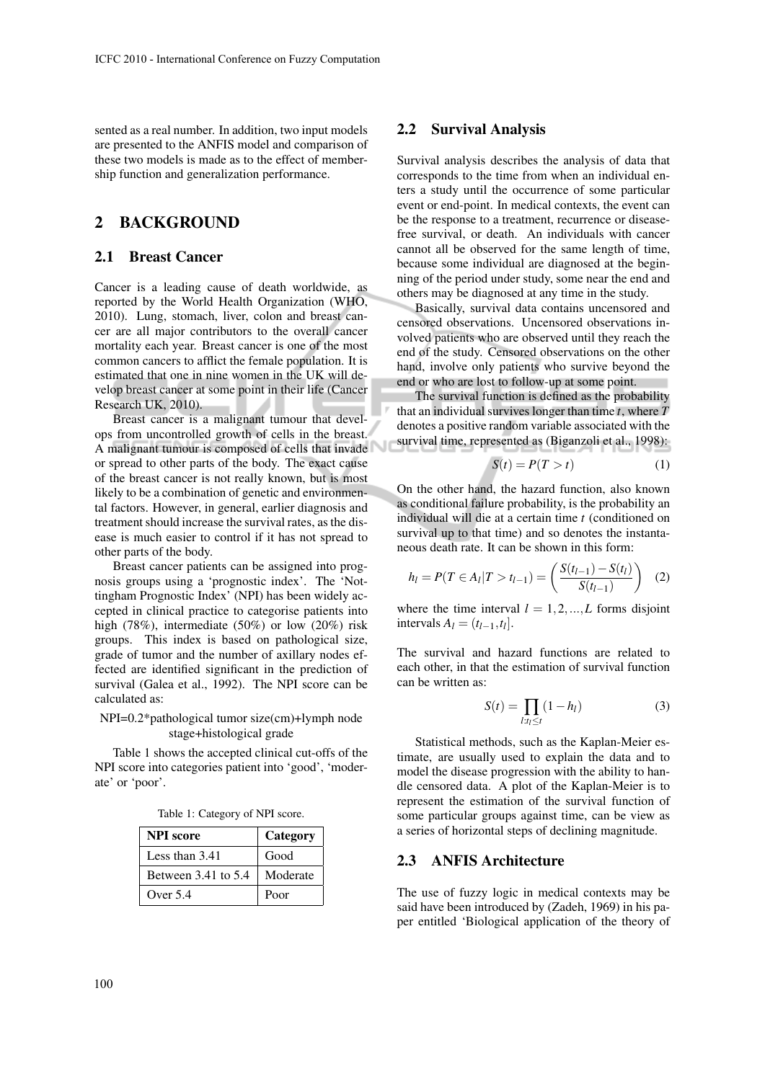sented as a real number. In addition, two input models are presented to the ANFIS model and comparison of these two models is made as to the effect of membership function and generalization performance.

### 2 BACKGROUND

#### 2.1 Breast Cancer

Cancer is a leading cause of death worldwide, as reported by the World Health Organization (WHO, 2010). Lung, stomach, liver, colon and breast cancer are all major contributors to the overall cancer mortality each year. Breast cancer is one of the most common cancers to afflict the female population. It is estimated that one in nine women in the UK will develop breast cancer at some point in their life (Cancer Research UK, 2010).

Breast cancer is a malignant tumour that develops from uncontrolled growth of cells in the breast. A malignant tumour is composed of cells that invade or spread to other parts of the body. The exact cause of the breast cancer is not really known, but is most likely to be a combination of genetic and environmental factors. However, in general, earlier diagnosis and treatment should increase the survival rates, as the disease is much easier to control if it has not spread to other parts of the body.

Breast cancer patients can be assigned into prognosis groups using a 'prognostic index'. The 'Nottingham Prognostic Index' (NPI) has been widely accepted in clinical practice to categorise patients into high (78%), intermediate (50%) or low (20%) risk groups. This index is based on pathological size, grade of tumor and the number of axillary nodes effected are identified significant in the prediction of survival (Galea et al., 1992). The NPI score can be calculated as:

#### NPI=0.2\*pathological tumor size(cm)+lymph node stage+histological grade

Table 1 shows the accepted clinical cut-offs of the NPI score into categories patient into 'good', 'moderate' or 'poor'.

|  | Table 1: Category of NPI score. |  |  |
|--|---------------------------------|--|--|
|--|---------------------------------|--|--|

| <b>NPI</b> score        | Category |  |
|-------------------------|----------|--|
| Less than $3.41$        | Good     |  |
| Between $3.41$ to $5.4$ | Moderate |  |
| Over $5.4$              | Poor     |  |

#### 2.2 Survival Analysis

Survival analysis describes the analysis of data that corresponds to the time from when an individual enters a study until the occurrence of some particular event or end-point. In medical contexts, the event can be the response to a treatment, recurrence or diseasefree survival, or death. An individuals with cancer cannot all be observed for the same length of time, because some individual are diagnosed at the beginning of the period under study, some near the end and others may be diagnosed at any time in the study.

Basically, survival data contains uncensored and censored observations. Uncensored observations involved patients who are observed until they reach the end of the study. Censored observations on the other hand, involve only patients who survive beyond the end or who are lost to follow-up at some point.

The survival function is defined as the probability that an individual survives longer than time *t*, where *T* denotes a positive random variable associated with the survival time, represented as (Biganzoli et al., 1998):

$$
S(t) = P(T > t)
$$
 (1)

On the other hand, the hazard function, also known as conditional failure probability, is the probability an individual will die at a certain time *t* (conditioned on survival up to that time) and so denotes the instantaneous death rate. It can be shown in this form:

$$
h_l = P(T \in A_l | T > t_{l-1}) = \left(\frac{S(t_{l-1}) - S(t_l)}{S(t_{l-1})}\right) \quad (2)
$$

where the time interval  $l = 1, 2, ..., L$  forms disjoint intervals  $A_l = (t_{l-1}, t_l].$ 

The survival and hazard functions are related to each other, in that the estimation of survival function can be written as:

$$
S(t) = \prod_{l:t_l \le t} (1 - h_l) \tag{3}
$$

Statistical methods, such as the Kaplan-Meier estimate, are usually used to explain the data and to model the disease progression with the ability to handle censored data. A plot of the Kaplan-Meier is to represent the estimation of the survival function of some particular groups against time, can be view as a series of horizontal steps of declining magnitude.

#### 2.3 ANFIS Architecture

The use of fuzzy logic in medical contexts may be said have been introduced by (Zadeh, 1969) in his paper entitled 'Biological application of the theory of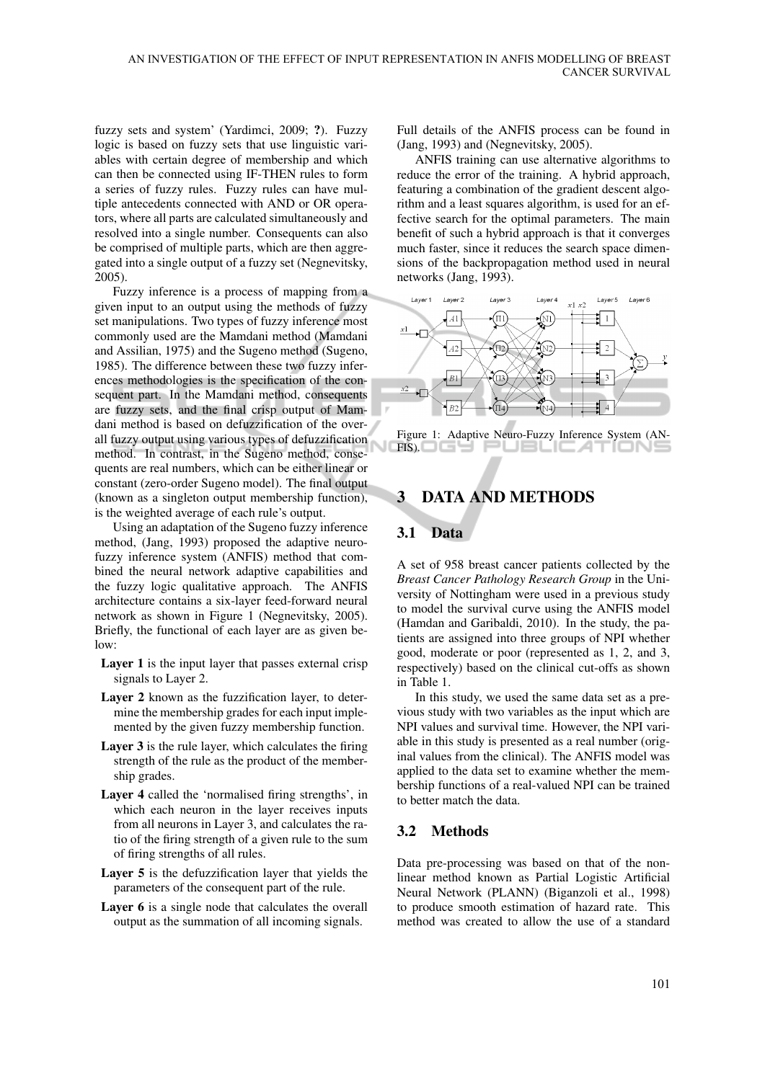fuzzy sets and system' (Yardimci, 2009; ?). Fuzzy logic is based on fuzzy sets that use linguistic variables with certain degree of membership and which can then be connected using IF-THEN rules to form a series of fuzzy rules. Fuzzy rules can have multiple antecedents connected with AND or OR operators, where all parts are calculated simultaneously and resolved into a single number. Consequents can also be comprised of multiple parts, which are then aggregated into a single output of a fuzzy set (Negnevitsky, 2005).

Fuzzy inference is a process of mapping from a given input to an output using the methods of fuzzy set manipulations. Two types of fuzzy inference most commonly used are the Mamdani method (Mamdani and Assilian, 1975) and the Sugeno method (Sugeno, 1985). The difference between these two fuzzy inferences methodologies is the specification of the consequent part. In the Mamdani method, consequents are fuzzy sets, and the final crisp output of Mamdani method is based on defuzzification of the overall fuzzy output using various types of defuzzification method. In contrast, in the Sugeno method, consequents are real numbers, which can be either linear or constant (zero-order Sugeno model). The final output (known as a singleton output membership function), is the weighted average of each rule's output.

Using an adaptation of the Sugeno fuzzy inference method, (Jang, 1993) proposed the adaptive neurofuzzy inference system (ANFIS) method that combined the neural network adaptive capabilities and the fuzzy logic qualitative approach. The ANFIS architecture contains a six-layer feed-forward neural network as shown in Figure 1 (Negnevitsky, 2005). Briefly, the functional of each layer are as given be $low$ 

- Layer 1 is the input layer that passes external crisp signals to Layer 2.
- Layer 2 known as the fuzzification layer, to determine the membership grades for each input implemented by the given fuzzy membership function.
- Layer 3 is the rule layer, which calculates the firing strength of the rule as the product of the membership grades.
- Layer 4 called the 'normalised firing strengths', in which each neuron in the layer receives inputs from all neurons in Layer 3, and calculates the ratio of the firing strength of a given rule to the sum of firing strengths of all rules.
- Layer 5 is the defuzzification layer that yields the parameters of the consequent part of the rule.
- Layer 6 is a single node that calculates the overall output as the summation of all incoming signals.

Full details of the ANFIS process can be found in (Jang, 1993) and (Negnevitsky, 2005).

ANFIS training can use alternative algorithms to reduce the error of the training. A hybrid approach, featuring a combination of the gradient descent algorithm and a least squares algorithm, is used for an effective search for the optimal parameters. The main benefit of such a hybrid approach is that it converges much faster, since it reduces the search space dimensions of the backpropagation method used in neural networks (Jang, 1993).



Figure 1: Adaptive Neuro-Fuzzy Inference System (AN- $\Box$  FIS).  $\Box$   $\Box$   $\Box$ JBLIC ATION

## 3 DATA AND METHODS

#### 3.1 Data

A set of 958 breast cancer patients collected by the *Breast Cancer Pathology Research Group* in the University of Nottingham were used in a previous study to model the survival curve using the ANFIS model (Hamdan and Garibaldi, 2010). In the study, the patients are assigned into three groups of NPI whether good, moderate or poor (represented as 1, 2, and 3, respectively) based on the clinical cut-offs as shown in Table 1.

In this study, we used the same data set as a previous study with two variables as the input which are NPI values and survival time. However, the NPI variable in this study is presented as a real number (original values from the clinical). The ANFIS model was applied to the data set to examine whether the membership functions of a real-valued NPI can be trained to better match the data.

### 3.2 Methods

Data pre-processing was based on that of the nonlinear method known as Partial Logistic Artificial Neural Network (PLANN) (Biganzoli et al., 1998) to produce smooth estimation of hazard rate. This method was created to allow the use of a standard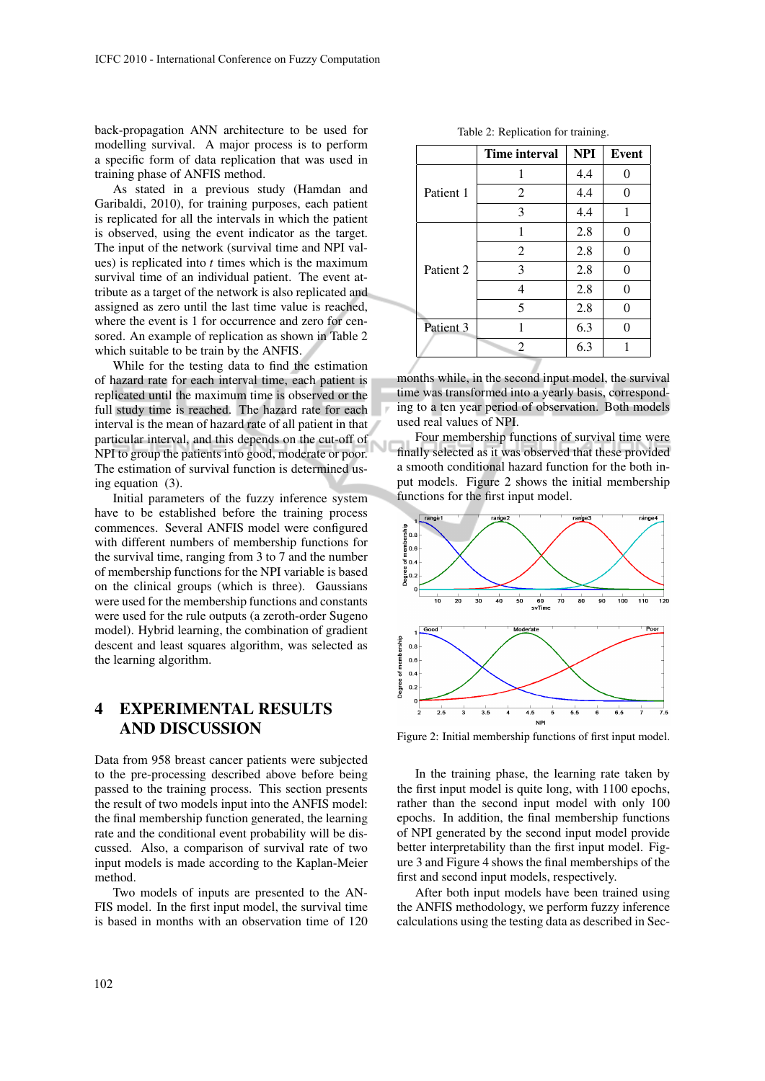back-propagation ANN architecture to be used for modelling survival. A major process is to perform a specific form of data replication that was used in training phase of ANFIS method.

As stated in a previous study (Hamdan and Garibaldi, 2010), for training purposes, each patient is replicated for all the intervals in which the patient is observed, using the event indicator as the target. The input of the network (survival time and NPI values) is replicated into *t* times which is the maximum survival time of an individual patient. The event attribute as a target of the network is also replicated and assigned as zero until the last time value is reached, where the event is 1 for occurrence and zero for censored. An example of replication as shown in Table 2 which suitable to be train by the ANFIS.

While for the testing data to find the estimation of hazard rate for each interval time, each patient is replicated until the maximum time is observed or the full study time is reached. The hazard rate for each interval is the mean of hazard rate of all patient in that particular interval, and this depends on the cut-off of NPI to group the patients into good, moderate or poor. The estimation of survival function is determined using equation (3).

Initial parameters of the fuzzy inference system have to be established before the training process commences. Several ANFIS model were configured with different numbers of membership functions for the survival time, ranging from 3 to 7 and the number of membership functions for the NPI variable is based on the clinical groups (which is three). Gaussians were used for the membership functions and constants were used for the rule outputs (a zeroth-order Sugeno model). Hybrid learning, the combination of gradient descent and least squares algorithm, was selected as the learning algorithm.

# 4 EXPERIMENTAL RESULTS AND DISCUSSION

Data from 958 breast cancer patients were subjected to the pre-processing described above before being passed to the training process. This section presents the result of two models input into the ANFIS model: the final membership function generated, the learning rate and the conditional event probability will be discussed. Also, a comparison of survival rate of two input models is made according to the Kaplan-Meier method.

Two models of inputs are presented to the AN-FIS model. In the first input model, the survival time is based in months with an observation time of 120

|           | Time interval               | <b>NPI</b> | Event |
|-----------|-----------------------------|------------|-------|
| Patient 1 | 1                           | 4.4        |       |
|           | 2                           | 4.4        | 0     |
|           | 3                           | 4.4        | 1     |
| Patient 2 | 1                           | 2.8        | 0     |
|           | $\overline{2}$              | 2.8        | 0     |
|           | 3                           | 2.8        | ∩     |
|           | 4                           | 2.8        |       |
|           | 5                           | 2.8        |       |
| Patient 3 | 1                           | 6.3        |       |
|           | $\mathcal{D}_{\mathcal{L}}$ | 6.3        |       |

months while, in the second input model, the survival time was transformed into a yearly basis, corresponding to a ten year period of observation. Both models used real values of NPI.

Four membership functions of survival time were finally selected as it was observed that these provided a smooth conditional hazard function for the both input models. Figure 2 shows the initial membership functions for the first input model.



Figure 2: Initial membership functions of first input model.

In the training phase, the learning rate taken by the first input model is quite long, with 1100 epochs, rather than the second input model with only 100 epochs. In addition, the final membership functions of NPI generated by the second input model provide better interpretability than the first input model. Figure 3 and Figure 4 shows the final memberships of the first and second input models, respectively.

After both input models have been trained using the ANFIS methodology, we perform fuzzy inference calculations using the testing data as described in Sec-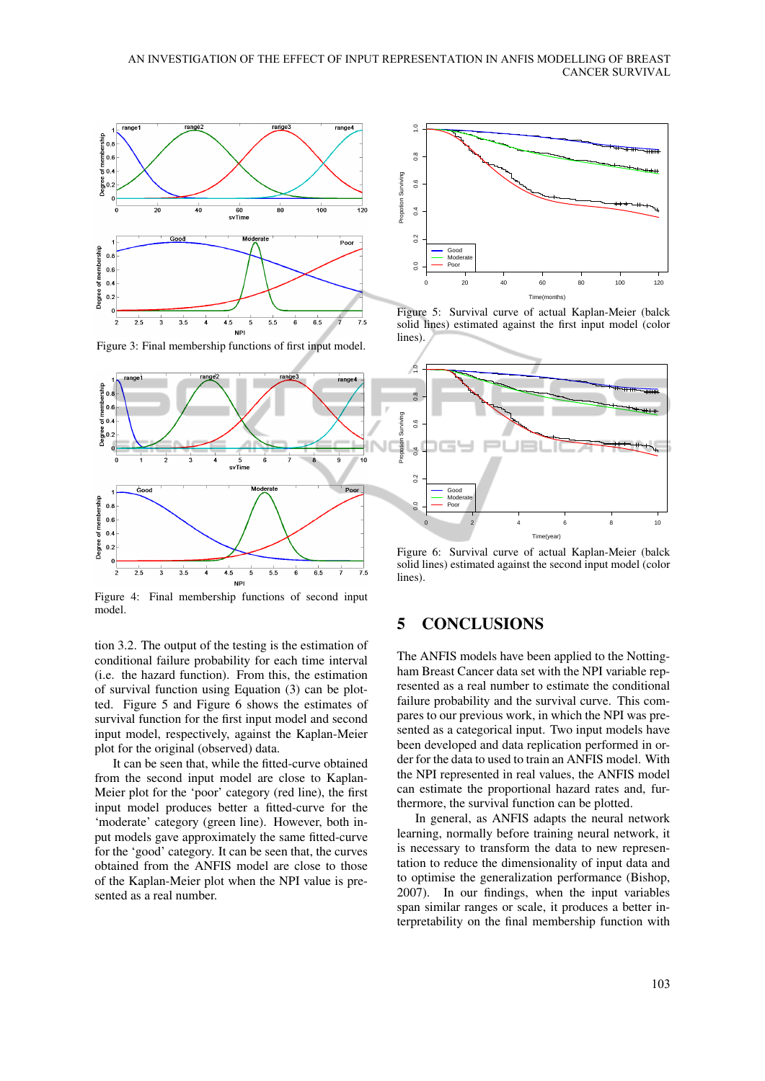

Figure 3: Final membership functions of first input model.



Figure 4: Final membership functions of second input model.

tion 3.2. The output of the testing is the estimation of conditional failure probability for each time interval (i.e. the hazard function). From this, the estimation of survival function using Equation (3) can be plotted. Figure 5 and Figure 6 shows the estimates of survival function for the first input model and second input model, respectively, against the Kaplan-Meier plot for the original (observed) data.

It can be seen that, while the fitted-curve obtained from the second input model are close to Kaplan-Meier plot for the 'poor' category (red line), the first input model produces better a fitted-curve for the 'moderate' category (green line). However, both input models gave approximately the same fitted-curve for the 'good' category. It can be seen that, the curves obtained from the ANFIS model are close to those of the Kaplan-Meier plot when the NPI value is presented as a real number.



Figure 5: Survival curve of actual Kaplan-Meier (balck solid lines) estimated against the first input model (color lines).



Figure 6: Survival curve of actual Kaplan-Meier (balck solid lines) estimated against the second input model (color lines).

### 5 CONCLUSIONS

The ANFIS models have been applied to the Nottingham Breast Cancer data set with the NPI variable represented as a real number to estimate the conditional failure probability and the survival curve. This compares to our previous work, in which the NPI was presented as a categorical input. Two input models have been developed and data replication performed in order for the data to used to train an ANFIS model. With the NPI represented in real values, the ANFIS model can estimate the proportional hazard rates and, furthermore, the survival function can be plotted.

In general, as ANFIS adapts the neural network learning, normally before training neural network, it is necessary to transform the data to new representation to reduce the dimensionality of input data and to optimise the generalization performance (Bishop, 2007). In our findings, when the input variables span similar ranges or scale, it produces a better interpretability on the final membership function with